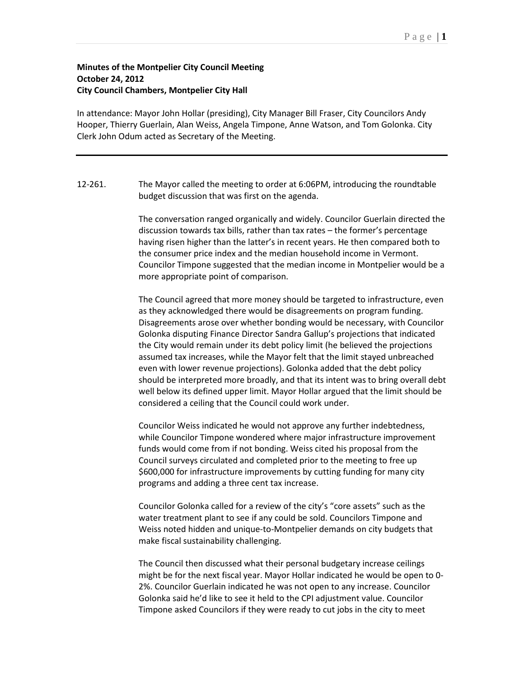## **Minutes of the Montpelier City Council Meeting October 24, 2012 City Council Chambers, Montpelier City Hall**

In attendance: Mayor John Hollar (presiding), City Manager Bill Fraser, City Councilors Andy Hooper, Thierry Guerlain, Alan Weiss, Angela Timpone, Anne Watson, and Tom Golonka. City Clerk John Odum acted as Secretary of the Meeting.

12-261. The Mayor called the meeting to order at 6:06PM, introducing the roundtable budget discussion that was first on the agenda.

> The conversation ranged organically and widely. Councilor Guerlain directed the discussion towards tax bills, rather than tax rates – the former's percentage having risen higher than the latter's in recent years. He then compared both to the consumer price index and the median household income in Vermont. Councilor Timpone suggested that the median income in Montpelier would be a more appropriate point of comparison.

> The Council agreed that more money should be targeted to infrastructure, even as they acknowledged there would be disagreements on program funding. Disagreements arose over whether bonding would be necessary, with Councilor Golonka disputing Finance Director Sandra Gallup's projections that indicated the City would remain under its debt policy limit (he believed the projections assumed tax increases, while the Mayor felt that the limit stayed unbreached even with lower revenue projections). Golonka added that the debt policy should be interpreted more broadly, and that its intent was to bring overall debt well below its defined upper limit. Mayor Hollar argued that the limit should be considered a ceiling that the Council could work under.

Councilor Weiss indicated he would not approve any further indebtedness, while Councilor Timpone wondered where major infrastructure improvement funds would come from if not bonding. Weiss cited his proposal from the Council surveys circulated and completed prior to the meeting to free up \$600,000 for infrastructure improvements by cutting funding for many city programs and adding a three cent tax increase.

Councilor Golonka called for a review of the city's "core assets" such as the water treatment plant to see if any could be sold. Councilors Timpone and Weiss noted hidden and unique-to-Montpelier demands on city budgets that make fiscal sustainability challenging.

The Council then discussed what their personal budgetary increase ceilings might be for the next fiscal year. Mayor Hollar indicated he would be open to 0- 2%. Councilor Guerlain indicated he was not open to any increase. Councilor Golonka said he'd like to see it held to the CPI adjustment value. Councilor Timpone asked Councilors if they were ready to cut jobs in the city to meet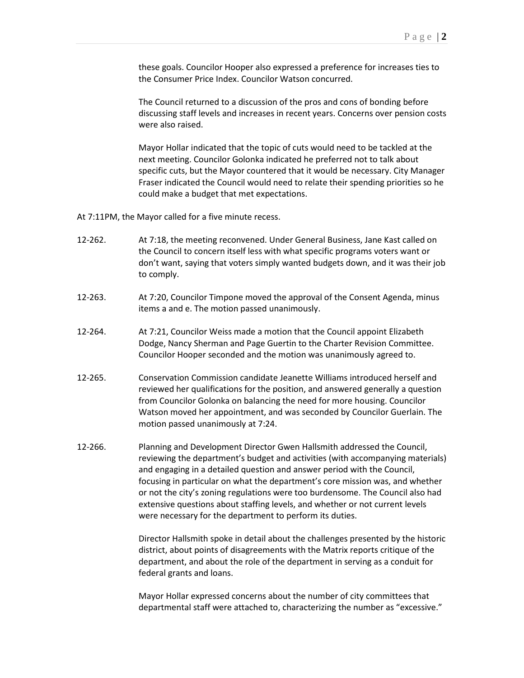these goals. Councilor Hooper also expressed a preference for increases ties to the Consumer Price Index. Councilor Watson concurred.

The Council returned to a discussion of the pros and cons of bonding before discussing staff levels and increases in recent years. Concerns over pension costs were also raised.

Mayor Hollar indicated that the topic of cuts would need to be tackled at the next meeting. Councilor Golonka indicated he preferred not to talk about specific cuts, but the Mayor countered that it would be necessary. City Manager Fraser indicated the Council would need to relate their spending priorities so he could make a budget that met expectations.

At 7:11PM, the Mayor called for a five minute recess.

- 12-262. At 7:18, the meeting reconvened. Under General Business, Jane Kast called on the Council to concern itself less with what specific programs voters want or don't want, saying that voters simply wanted budgets down, and it was their job to comply.
- 12-263. At 7:20, Councilor Timpone moved the approval of the Consent Agenda, minus items a and e. The motion passed unanimously.
- 12-264. At 7:21, Councilor Weiss made a motion that the Council appoint Elizabeth Dodge, Nancy Sherman and Page Guertin to the Charter Revision Committee. Councilor Hooper seconded and the motion was unanimously agreed to.
- 12-265. Conservation Commission candidate Jeanette Williams introduced herself and reviewed her qualifications for the position, and answered generally a question from Councilor Golonka on balancing the need for more housing. Councilor Watson moved her appointment, and was seconded by Councilor Guerlain. The motion passed unanimously at 7:24.
- 12-266. Planning and Development Director Gwen Hallsmith addressed the Council, reviewing the department's budget and activities (with accompanying materials) and engaging in a detailed question and answer period with the Council, focusing in particular on what the department's core mission was, and whether or not the city's zoning regulations were too burdensome. The Council also had extensive questions about staffing levels, and whether or not current levels were necessary for the department to perform its duties.

Director Hallsmith spoke in detail about the challenges presented by the historic district, about points of disagreements with the Matrix reports critique of the department, and about the role of the department in serving as a conduit for federal grants and loans.

Mayor Hollar expressed concerns about the number of city committees that departmental staff were attached to, characterizing the number as "excessive."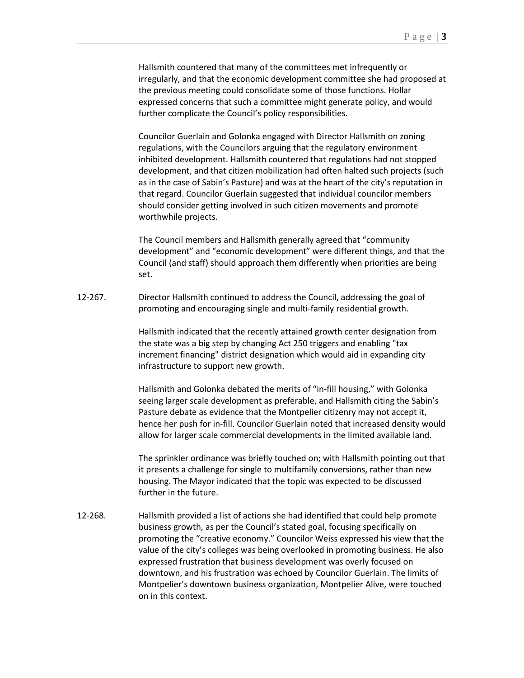Hallsmith countered that many of the committees met infrequently or irregularly, and that the economic development committee she had proposed at the previous meeting could consolidate some of those functions. Hollar expressed concerns that such a committee might generate policy, and would further complicate the Council's policy responsibilities.

Councilor Guerlain and Golonka engaged with Director Hallsmith on zoning regulations, with the Councilors arguing that the regulatory environment inhibited development. Hallsmith countered that regulations had not stopped development, and that citizen mobilization had often halted such projects (such as in the case of Sabin's Pasture) and was at the heart of the city's reputation in that regard. Councilor Guerlain suggested that individual councilor members should consider getting involved in such citizen movements and promote worthwhile projects.

The Council members and Hallsmith generally agreed that "community development" and "economic development" were different things, and that the Council (and staff) should approach them differently when priorities are being set.

12-267. Director Hallsmith continued to address the Council, addressing the goal of promoting and encouraging single and multi-family residential growth.

> Hallsmith indicated that the recently attained growth center designation from the state was a big step by changing Act 250 triggers and enabling "tax increment financing" district designation which would aid in expanding city infrastructure to support new growth.

Hallsmith and Golonka debated the merits of "in-fill housing," with Golonka seeing larger scale development as preferable, and Hallsmith citing the Sabin's Pasture debate as evidence that the Montpelier citizenry may not accept it, hence her push for in-fill. Councilor Guerlain noted that increased density would allow for larger scale commercial developments in the limited available land.

The sprinkler ordinance was briefly touched on; with Hallsmith pointing out that it presents a challenge for single to multifamily conversions, rather than new housing. The Mayor indicated that the topic was expected to be discussed further in the future.

12-268. Hallsmith provided a list of actions she had identified that could help promote business growth, as per the Council's stated goal, focusing specifically on promoting the "creative economy." Councilor Weiss expressed his view that the value of the city's colleges was being overlooked in promoting business. He also expressed frustration that business development was overly focused on downtown, and his frustration was echoed by Councilor Guerlain. The limits of Montpelier's downtown business organization, Montpelier Alive, were touched on in this context.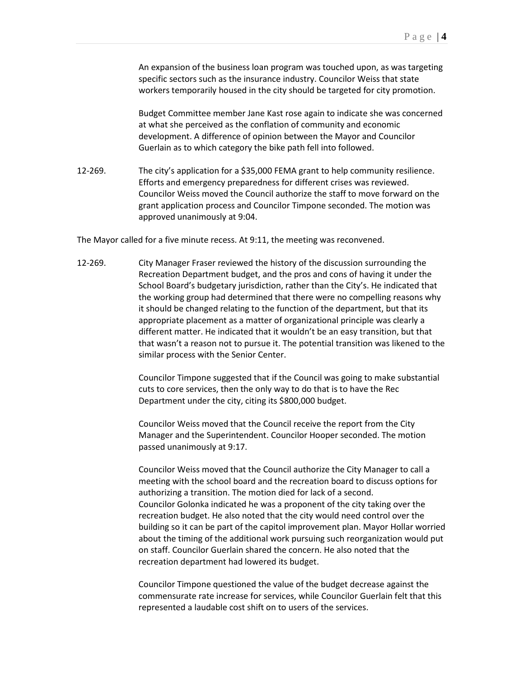An expansion of the business loan program was touched upon, as was targeting specific sectors such as the insurance industry. Councilor Weiss that state workers temporarily housed in the city should be targeted for city promotion.

Budget Committee member Jane Kast rose again to indicate she was concerned at what she perceived as the conflation of community and economic development. A difference of opinion between the Mayor and Councilor Guerlain as to which category the bike path fell into followed.

12-269. The city's application for a \$35,000 FEMA grant to help community resilience. Efforts and emergency preparedness for different crises was reviewed. Councilor Weiss moved the Council authorize the staff to move forward on the grant application process and Councilor Timpone seconded. The motion was approved unanimously at 9:04.

The Mayor called for a five minute recess. At 9:11, the meeting was reconvened.

12-269. City Manager Fraser reviewed the history of the discussion surrounding the Recreation Department budget, and the pros and cons of having it under the School Board's budgetary jurisdiction, rather than the City's. He indicated that the working group had determined that there were no compelling reasons why it should be changed relating to the function of the department, but that its appropriate placement as a matter of organizational principle was clearly a different matter. He indicated that it wouldn't be an easy transition, but that that wasn't a reason not to pursue it. The potential transition was likened to the similar process with the Senior Center.

> Councilor Timpone suggested that if the Council was going to make substantial cuts to core services, then the only way to do that is to have the Rec Department under the city, citing its \$800,000 budget.

Councilor Weiss moved that the Council receive the report from the City Manager and the Superintendent. Councilor Hooper seconded. The motion passed unanimously at 9:17.

Councilor Weiss moved that the Council authorize the City Manager to call a meeting with the school board and the recreation board to discuss options for authorizing a transition. The motion died for lack of a second. Councilor Golonka indicated he was a proponent of the city taking over the recreation budget. He also noted that the city would need control over the building so it can be part of the capitol improvement plan. Mayor Hollar worried about the timing of the additional work pursuing such reorganization would put on staff. Councilor Guerlain shared the concern. He also noted that the recreation department had lowered its budget.

Councilor Timpone questioned the value of the budget decrease against the commensurate rate increase for services, while Councilor Guerlain felt that this represented a laudable cost shift on to users of the services.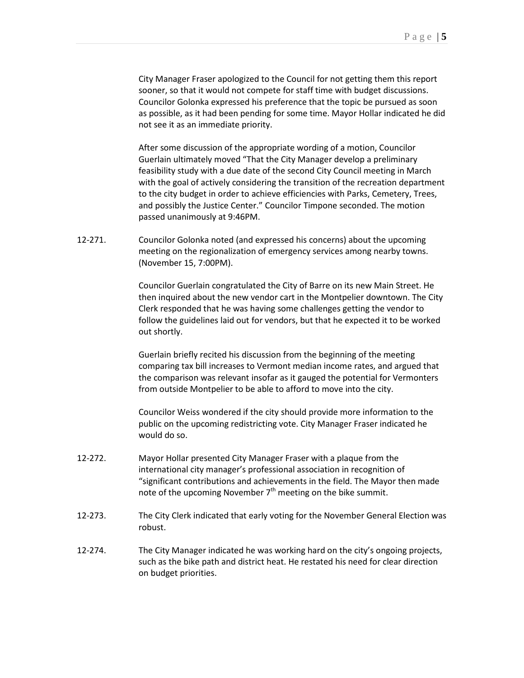City Manager Fraser apologized to the Council for not getting them this report sooner, so that it would not compete for staff time with budget discussions. Councilor Golonka expressed his preference that the topic be pursued as soon as possible, as it had been pending for some time. Mayor Hollar indicated he did not see it as an immediate priority.

After some discussion of the appropriate wording of a motion, Councilor Guerlain ultimately moved "That the City Manager develop a preliminary feasibility study with a due date of the second City Council meeting in March with the goal of actively considering the transition of the recreation department to the city budget in order to achieve efficiencies with Parks, Cemetery, Trees, and possibly the Justice Center." Councilor Timpone seconded. The motion passed unanimously at 9:46PM.

12-271. Councilor Golonka noted (and expressed his concerns) about the upcoming meeting on the regionalization of emergency services among nearby towns. (November 15, 7:00PM).

> Councilor Guerlain congratulated the City of Barre on its new Main Street. He then inquired about the new vendor cart in the Montpelier downtown. The City Clerk responded that he was having some challenges getting the vendor to follow the guidelines laid out for vendors, but that he expected it to be worked out shortly.

Guerlain briefly recited his discussion from the beginning of the meeting comparing tax bill increases to Vermont median income rates, and argued that the comparison was relevant insofar as it gauged the potential for Vermonters from outside Montpelier to be able to afford to move into the city.

Councilor Weiss wondered if the city should provide more information to the public on the upcoming redistricting vote. City Manager Fraser indicated he would do so.

- 12-272. Mayor Hollar presented City Manager Fraser with a plaque from the international city manager's professional association in recognition of "significant contributions and achievements in the field. The Mayor then made note of the upcoming November  $7<sup>th</sup>$  meeting on the bike summit.
- 12-273. The City Clerk indicated that early voting for the November General Election was robust.
- 12-274. The City Manager indicated he was working hard on the city's ongoing projects, such as the bike path and district heat. He restated his need for clear direction on budget priorities.